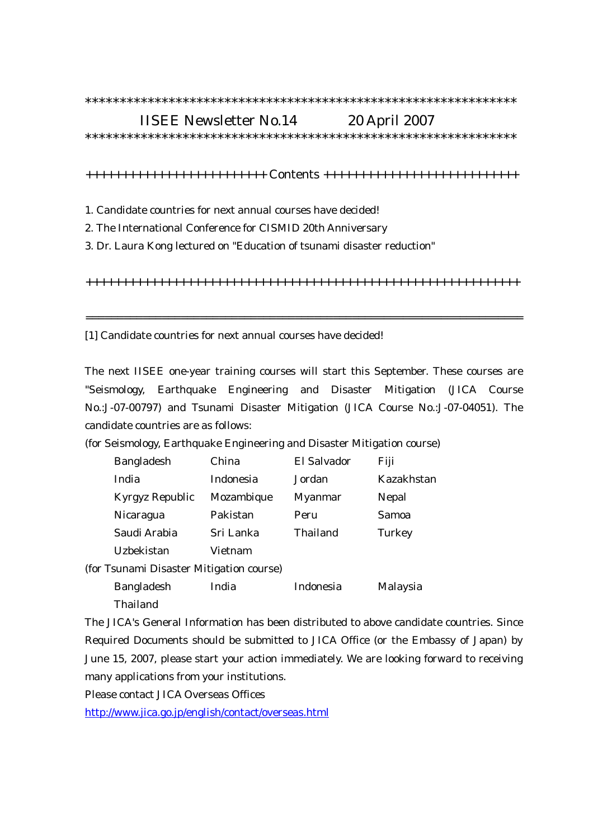## IISEE Newsletter No.14 20 April 2007

\*\*\*\*\*\*\*\*\*\*\*\*\*\*\*\*\*\*\*\*\*\*\*\*\*\*\*\*\*\*\*\*\*\*\*\*\*\*\*\*\*\*\*\*\*\*\*\*\*\*\*\*\*\*\*\*\*\*\*\*\*\*

+++++++++++++++++++++++++ Contents +++++++++++++++++++++++++++

1. Candidate countries for next annual courses have decided!

2. The International Conference for CISMID 20th Anniversary

3. Dr. Laura Kong lectured on "Education of tsunami disaster reduction"

++++++++++++++++++++++++++++++++++++++++++++++++++++++++++++

=====================================================================

[1] Candidate countries for next annual courses have decided!

The next IISEE one-year training courses will start this September. These courses are "Seismology, Earthquake Engineering and Disaster Mitigation (JICA Course No.:J-07-00797) and Tsunami Disaster Mitigation (JICA Course No.:J-07-04051). The candidate countries are as follows:

(for Seismology, Earthquake Engineering and Disaster Mitigation course)

|                                          | <b>Bangladesh</b> | China      | El Salvador | Fiji       |
|------------------------------------------|-------------------|------------|-------------|------------|
|                                          | India             | Indonesia  | Jordan      | Kazakhstan |
|                                          | Kyrgyz Republic   | Mozambique | Myanmar     | Nepal      |
|                                          | Nicaragua         | Pakistan   | Peru        | Samoa      |
|                                          | Saudi Arabia      | Sri Lanka  | Thailand    | Turkey     |
|                                          | Uzbekistan        | Vietnam    |             |            |
| (for Tsunami Disaster Mitigation course) |                   |            |             |            |
|                                          | <b>Bangladesh</b> | India      | Indonesia   | Malaysia   |
|                                          | Thailand          |            |             |            |

The JICA's General Information has been distributed to above candidate countries. Since Required Documents should be submitted to JICA Office (or the Embassy of Japan) by June 15, 2007, please start your action immediately. We are looking forward to receiving many applications from your institutions.

Please contact JICA Overseas Offices

http://www.jica.go.jp/english/contact/overseas.html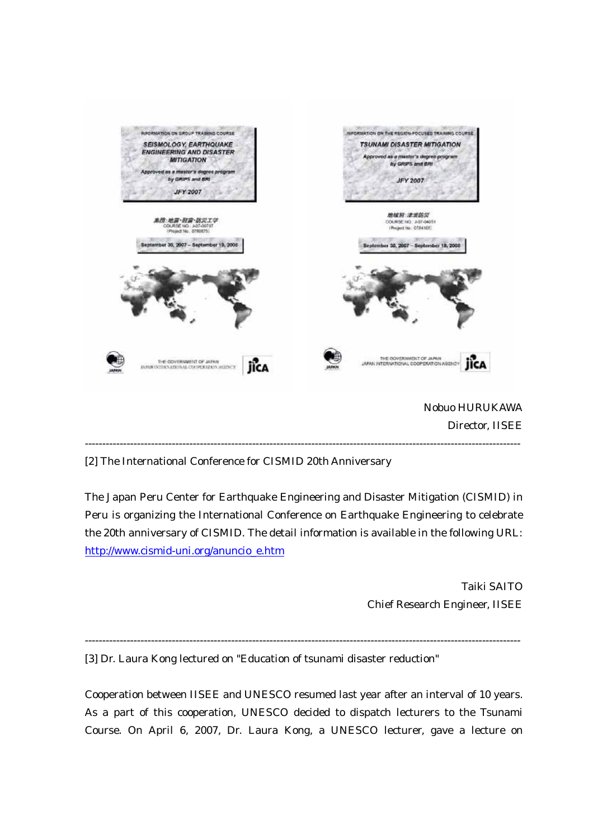

[2] The International Conference for CISMID 20th Anniversary

The Japan Peru Center for Earthquake Engineering and Disaster Mitigation (CISMID) in Peru is organizing the International Conference on Earthquake Engineering to celebrate the 20th anniversary of CISMID. The detail information is available in the following URL: http://www.cismid-uni.org/anuncio\_e.htm

> Taiki SAITO Chief Research Engineer, IISEE

-----------------------------------------------------------------------------------------------------------------------------

[3] Dr. Laura Kong lectured on "Education of tsunami disaster reduction"

Cooperation between IISEE and UNESCO resumed last year after an interval of 10 years. As a part of this cooperation, UNESCO decided to dispatch lecturers to the Tsunami Course. On April 6, 2007, Dr. Laura Kong, a UNESCO lecturer, gave a lecture on